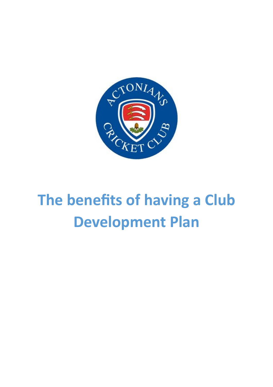

# **The benefits of having a Club Development Plan**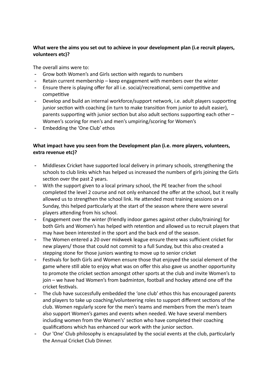# **What were the aims you set out to achieve in your development plan (i.e recruit players, volunteers etc)?**

The overall aims were to:

- Grow both Women's and Girls section with regards to numbers
- Retain current membership keep engagement with members over the winter
- Ensure there is playing offer for all i.e. social/recreational, semi competitive and competitive
- Develop and build an internal workforce/support network, i.e. adult players supporting junior section with coaching (in turn to make transition from junior to adult easier), parents supporting with junior section but also adult sections supporting each other – Women's scoring for men's and men's umpiring/scoring for Women's
- Embedding the 'One Club' ethos

### **What impact have you seen from the Development plan (i.e. more players, volunteers, extra revenue etc)?**

- Middlesex Cricket have supported local delivery in primary schools, strengthening the schools to club links which has helped us increased the numbers of girls joining the Girls section over the past 2 years.
- With the support given to a local primary school, the PE teacher from the school completed the level 2 course and not only enhanced the offer at the school, but it really allowed us to strengthen the school link. He attended most training sessions on a Sunday, this helped particularly at the start of the season where there were several players attending from his school.
- Engagement over the winter (friendly indoor games against other clubs/training) for both Girls and Women's has helped with retention and allowed us to recruit players that may have been interested in the sport and the back end of the season.
- The Women entered a 20 over midweek league ensure there was sufficient cricket for new players/ those that could not commit to a full Sunday, but this also created a stepping stone for those juniors wanting to move up to senior cricket
- Festivals for both Girls and Women ensure those that enjoyed the social element of the game where still able to enjoy what was on offer this also gave us another opportunity to promote the cricket section amongst other sports at the club and invite Women's to join – we have had Women's from badminton, football and hockey attend one off the cricket festivals.
- The club have successfully embedded the 'one club' ethos this has encouraged parents and players to take up coaching/volunteering roles to support different sections of the club. Women regularly score for the men's teams and members from the men's team also support Women's games and events when needed. We have several members including women from the Women's' section who have completed their coaching qualifications which has enhanced our work with the junior section.
- Our 'One' Club philosophy is encapsulated by the social events at the club, particularly the Annual Cricket Club Dinner.